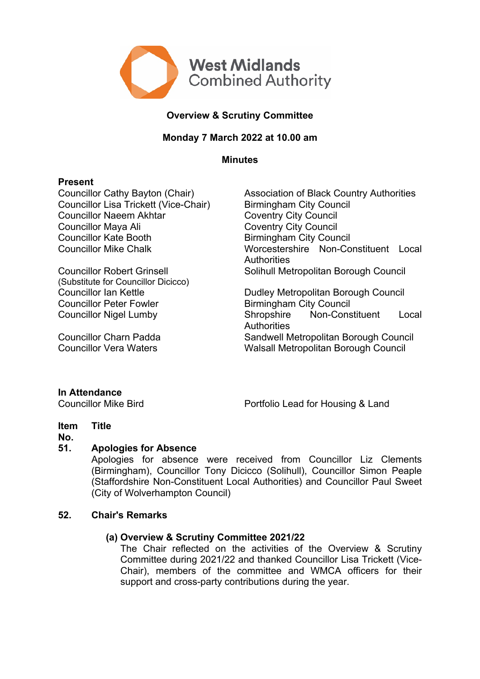

# **Overview & Scrutiny Committee**

## **Monday 7 March 2022 at 10.00 am**

**Minutes**

#### **Present**

Councillor Lisa Trickett (Vice-Chair) Birmingham City Council Councillor Naeem Akhtar Coventry City Council Councillor Maya Ali Coventry City Council Councillor Kate Booth Birmingham City Council

Councillor Robert Grinsell (Substitute for Councillor Dicicco) Councillor Peter Fowler **Birmingham City Council** 

Councillor Cathy Bayton (Chair) Association of Black Country Authorities Councillor Mike Chalk Worcestershire Non-Constituent Local **Authorities** Solihull Metropolitan Borough Council

Councillor Ian Kettle **Dudley Metropolitan Borough Council** Councillor Nigel Lumby Shropshire Non-Constituent Local **Authorities** Councillor Charn Padda Sandwell Metropolitan Borough Council Councillor Vera Waters Walsall Metropolitan Borough Council

## **In Attendance**

Councillor Mike Bird **Portfolio Lead for Housing & Land** 

#### **Item Title**

#### **No.**

## **51. Apologies for Absence**

Apologies for absence were received from Councillor Liz Clements (Birmingham), Councillor Tony Dicicco (Solihull), Councillor Simon Peaple (Staffordshire Non-Constituent Local Authorities) and Councillor Paul Sweet (City of Wolverhampton Council)

## **52. Chair's Remarks**

## **(a) Overview & Scrutiny Committee 2021/22**

The Chair reflected on the activities of the Overview & Scrutiny Committee during 2021/22 and thanked Councillor Lisa Trickett (Vice-Chair), members of the committee and WMCA officers for their support and cross-party contributions during the year.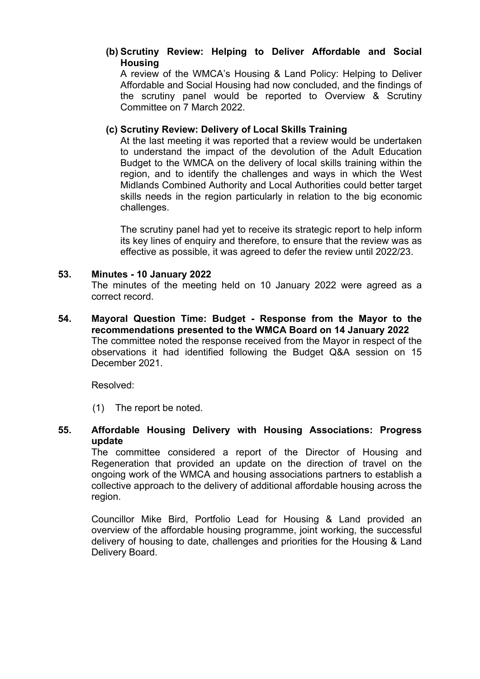# **(b) Scrutiny Review: Helping to Deliver Affordable and Social Housing**

A review of the WMCA's Housing & Land Policy: Helping to Deliver Affordable and Social Housing had now concluded, and the findings of the scrutiny panel would be reported to Overview & Scrutiny Committee on 7 March 2022.

# **(c) Scrutiny Review: Delivery of Local Skills Training**

At the last meeting it was reported that a review would be undertaken to understand the impact of the devolution of the Adult Education Budget to the WMCA on the delivery of local skills training within the region, and to identify the challenges and ways in which the West Midlands Combined Authority and Local Authorities could better target skills needs in the region particularly in relation to the big economic challenges.

The scrutiny panel had yet to receive its strategic report to help inform its key lines of enquiry and therefore, to ensure that the review was as effective as possible, it was agreed to defer the review until 2022/23.

## **53. Minutes - 10 January 2022**

The minutes of the meeting held on 10 January 2022 were agreed as a correct record.

**54. Mayoral Question Time: Budget - Response from the Mayor to the recommendations presented to the WMCA Board on 14 January 2022** The committee noted the response received from the Mayor in respect of the observations it had identified following the Budget Q&A session on 15 December 2021.

Resolved:

(1) The report be noted.

**55. Affordable Housing Delivery with Housing Associations: Progress update**

The committee considered a report of the Director of Housing and Regeneration that provided an update on the direction of travel on the ongoing work of the WMCA and housing associations partners to establish a collective approach to the delivery of additional affordable housing across the region.

Councillor Mike Bird, Portfolio Lead for Housing & Land provided an overview of the affordable housing programme, joint working, the successful delivery of housing to date, challenges and priorities for the Housing & Land Delivery Board.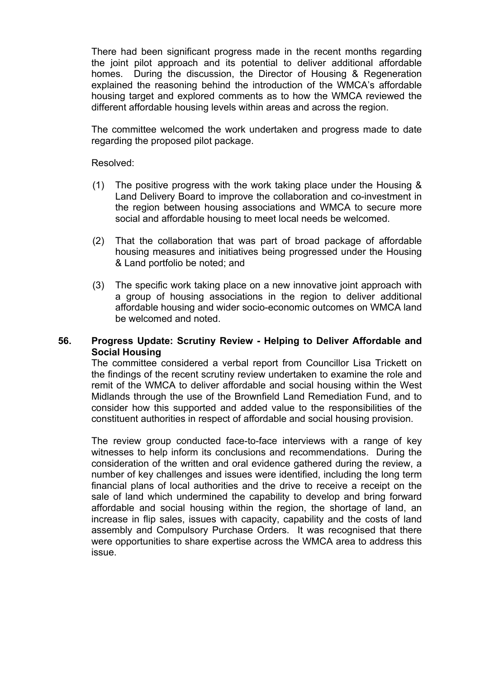There had been significant progress made in the recent months regarding the joint pilot approach and its potential to deliver additional affordable homes. During the discussion, the Director of Housing & Regeneration explained the reasoning behind the introduction of the WMCA's affordable housing target and explored comments as to how the WMCA reviewed the different affordable housing levels within areas and across the region.

The committee welcomed the work undertaken and progress made to date regarding the proposed pilot package.

Resolved:

- (1) The positive progress with the work taking place under the Housing & Land Delivery Board to improve the collaboration and co-investment in the region between housing associations and WMCA to secure more social and affordable housing to meet local needs be welcomed.
- (2) That the collaboration that was part of broad package of affordable housing measures and initiatives being progressed under the Housing & Land portfolio be noted; and
- (3) The specific work taking place on a new innovative joint approach with a group of housing associations in the region to deliver additional affordable housing and wider socio-economic outcomes on WMCA land be welcomed and noted.

## **56. Progress Update: Scrutiny Review - Helping to Deliver Affordable and Social Housing**

The committee considered a verbal report from Councillor Lisa Trickett on the findings of the recent scrutiny review undertaken to examine the role and remit of the WMCA to deliver affordable and social housing within the West Midlands through the use of the Brownfield Land Remediation Fund, and to consider how this supported and added value to the responsibilities of the constituent authorities in respect of affordable and social housing provision.

The review group conducted face-to-face interviews with a range of key witnesses to help inform its conclusions and recommendations. During the consideration of the written and oral evidence gathered during the review, a number of key challenges and issues were identified, including the long term financial plans of local authorities and the drive to receive a receipt on the sale of land which undermined the capability to develop and bring forward affordable and social housing within the region, the shortage of land, an increase in flip sales, issues with capacity, capability and the costs of land assembly and Compulsory Purchase Orders. It was recognised that there were opportunities to share expertise across the WMCA area to address this issue.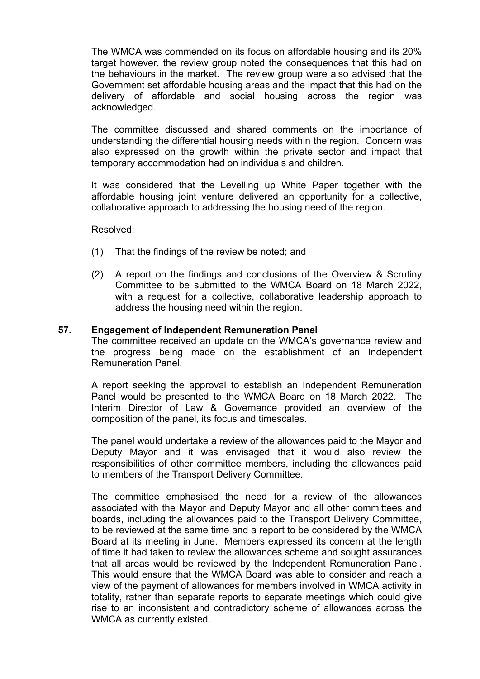The WMCA was commended on its focus on affordable housing and its 20% target however, the review group noted the consequences that this had on the behaviours in the market. The review group were also advised that the Government set affordable housing areas and the impact that this had on the delivery of affordable and social housing across the region was acknowledged.

The committee discussed and shared comments on the importance of understanding the differential housing needs within the region. Concern was also expressed on the growth within the private sector and impact that temporary accommodation had on individuals and children.

It was considered that the Levelling up White Paper together with the affordable housing joint venture delivered an opportunity for a collective, collaborative approach to addressing the housing need of the region.

Resolved:

- (1) That the findings of the review be noted; and
- (2) A report on the findings and conclusions of the Overview & Scrutiny Committee to be submitted to the WMCA Board on 18 March 2022, with a request for a collective, collaborative leadership approach to address the housing need within the region.

#### **57. Engagement of Independent Remuneration Panel**

The committee received an update on the WMCA's governance review and the progress being made on the establishment of an Independent Remuneration Panel.

A report seeking the approval to establish an Independent Remuneration Panel would be presented to the WMCA Board on 18 March 2022. The Interim Director of Law & Governance provided an overview of the composition of the panel, its focus and timescales.

The panel would undertake a review of the allowances paid to the Mayor and Deputy Mayor and it was envisaged that it would also review the responsibilities of other committee members, including the allowances paid to members of the Transport Delivery Committee.

The committee emphasised the need for a review of the allowances associated with the Mayor and Deputy Mayor and all other committees and boards, including the allowances paid to the Transport Delivery Committee, to be reviewed at the same time and a report to be considered by the WMCA Board at its meeting in June. Members expressed its concern at the length of time it had taken to review the allowances scheme and sought assurances that all areas would be reviewed by the Independent Remuneration Panel. This would ensure that the WMCA Board was able to consider and reach a view of the payment of allowances for members involved in WMCA activity in totality, rather than separate reports to separate meetings which could give rise to an inconsistent and contradictory scheme of allowances across the WMCA as currently existed.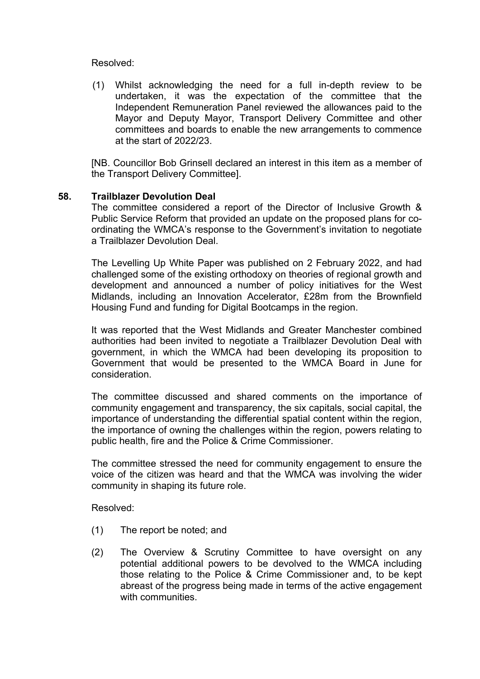#### Resolved:

(1) Whilst acknowledging the need for a full in-depth review to be undertaken, it was the expectation of the committee that the Independent Remuneration Panel reviewed the allowances paid to the Mayor and Deputy Mayor, Transport Delivery Committee and other committees and boards to enable the new arrangements to commence at the start of 2022/23.

[NB. Councillor Bob Grinsell declared an interest in this item as a member of the Transport Delivery Committee].

#### **58. Trailblazer Devolution Deal**

The committee considered a report of the Director of Inclusive Growth & Public Service Reform that provided an update on the proposed plans for coordinating the WMCA's response to the Government's invitation to negotiate a Trailblazer Devolution Deal.

The Levelling Up White Paper was published on 2 February 2022, and had challenged some of the existing orthodoxy on theories of regional growth and development and announced a number of policy initiatives for the West Midlands, including an Innovation Accelerator, £28m from the Brownfield Housing Fund and funding for Digital Bootcamps in the region.

It was reported that the West Midlands and Greater Manchester combined authorities had been invited to negotiate a Trailblazer Devolution Deal with government, in which the WMCA had been developing its proposition to Government that would be presented to the WMCA Board in June for consideration.

The committee discussed and shared comments on the importance of community engagement and transparency, the six capitals, social capital, the importance of understanding the differential spatial content within the region, the importance of owning the challenges within the region, powers relating to public health, fire and the Police & Crime Commissioner.

The committee stressed the need for community engagement to ensure the voice of the citizen was heard and that the WMCA was involving the wider community in shaping its future role.

Resolved:

- (1) The report be noted; and
- (2) The Overview & Scrutiny Committee to have oversight on any potential additional powers to be devolved to the WMCA including those relating to the Police & Crime Commissioner and, to be kept abreast of the progress being made in terms of the active engagement with communities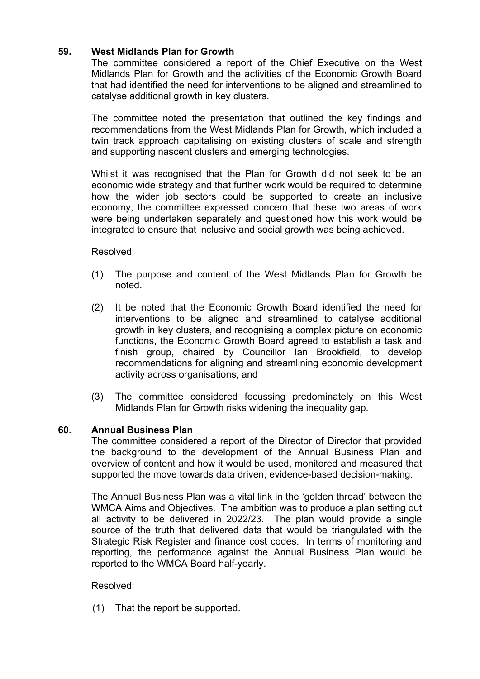# **59. West Midlands Plan for Growth**

The committee considered a report of the Chief Executive on the West Midlands Plan for Growth and the activities of the Economic Growth Board that had identified the need for interventions to be aligned and streamlined to catalyse additional growth in key clusters.

The committee noted the presentation that outlined the key findings and recommendations from the West Midlands Plan for Growth, which included a twin track approach capitalising on existing clusters of scale and strength and supporting nascent clusters and emerging technologies.

Whilst it was recognised that the Plan for Growth did not seek to be an economic wide strategy and that further work would be required to determine how the wider job sectors could be supported to create an inclusive economy, the committee expressed concern that these two areas of work were being undertaken separately and questioned how this work would be integrated to ensure that inclusive and social growth was being achieved.

Resolved:

- (1) The purpose and content of the West Midlands Plan for Growth be noted.
- (2) It be noted that the Economic Growth Board identified the need for interventions to be aligned and streamlined to catalyse additional growth in key clusters, and recognising a complex picture on economic functions, the Economic Growth Board agreed to establish a task and finish group, chaired by Councillor Ian Brookfield, to develop recommendations for aligning and streamlining economic development activity across organisations; and
- (3) The committee considered focussing predominately on this West Midlands Plan for Growth risks widening the inequality gap.

## **60. Annual Business Plan**

The committee considered a report of the Director of Director that provided the background to the development of the Annual Business Plan and overview of content and how it would be used, monitored and measured that supported the move towards data driven, evidence-based decision-making.

The Annual Business Plan was a vital link in the 'golden thread' between the WMCA Aims and Objectives. The ambition was to produce a plan setting out all activity to be delivered in 2022/23. The plan would provide a single source of the truth that delivered data that would be triangulated with the Strategic Risk Register and finance cost codes. In terms of monitoring and reporting, the performance against the Annual Business Plan would be reported to the WMCA Board half-yearly.

## Resolved:

(1) That the report be supported.